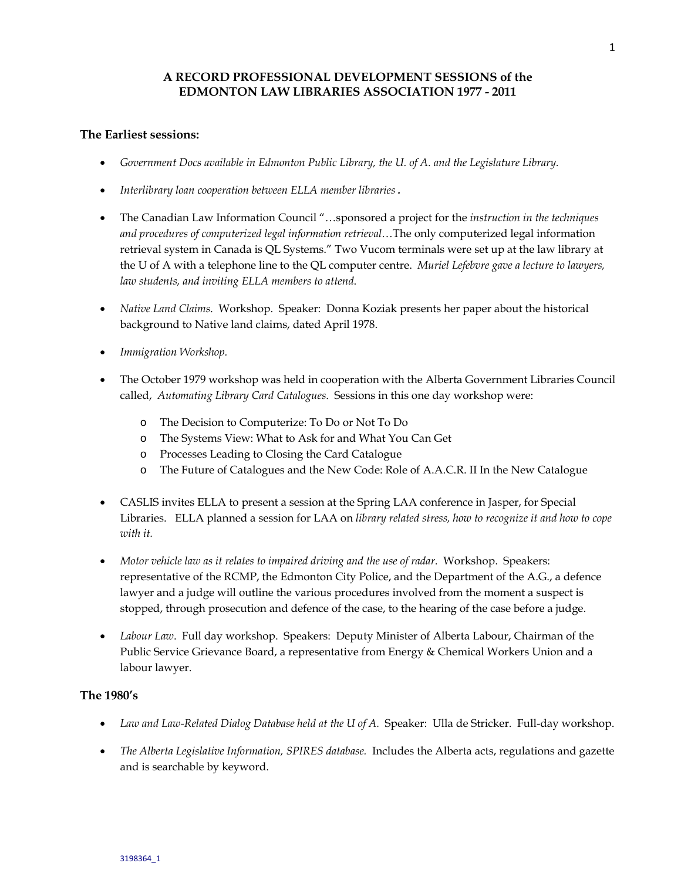# **A RECORD PROFESSIONAL DEVELOPMENT SESSIONS of the EDMONTON LAW LIBRARIES ASSOCIATION 1977 - 2011**

#### **The Earliest sessions:**

- *Government Docs available in Edmonton Public Library, the U. of A. and the Legislature Library.*
- *Interlibrary loan cooperation between ELLA member libraries .*
- The Canadian Law Information Council "…sponsored a project for the *instruction in the techniques and procedures of computerized legal information retrieval*…The only computerized legal information retrieval system in Canada is QL Systems." Two Vucom terminals were set up at the law library at the U of A with a telephone line to the QL computer centre. *Muriel Lefebvre gave a lecture to lawyers, law students, and inviting ELLA members to attend*.
- *Native Land Claims*. Workshop. Speaker: Donna Koziak presents her paper about the historical background to Native land claims, dated April 1978.
- *Immigration Workshop.*
- The October 1979 workshop was held in cooperation with the Alberta Government Libraries Council called, *Automating Library Card Catalogues*. Sessions in this one day workshop were:
	- o The Decision to Computerize: To Do or Not To Do
	- o The Systems View: What to Ask for and What You Can Get
	- o Processes Leading to Closing the Card Catalogue
	- o The Future of Catalogues and the New Code: Role of A.A.C.R. II In the New Catalogue
- CASLIS invites ELLA to present a session at the Spring LAA conference in Jasper, for Special Libraries. ELLA planned a session for LAA on *library related stress, how to recognize it and how to cope with it.*
- *Motor vehicle law as it relates to impaired driving and the use of radar*. Workshop. Speakers: representative of the RCMP, the Edmonton City Police, and the Department of the A.G., a defence lawyer and a judge will outline the various procedures involved from the moment a suspect is stopped, through prosecution and defence of the case, to the hearing of the case before a judge.
- *Labour Law*. Full day workshop. Speakers: Deputy Minister of Alberta Labour, Chairman of the Public Service Grievance Board, a representative from Energy & Chemical Workers Union and a labour lawyer.

#### **The 1980's**

- *Law and Law-Related Dialog Database held at the U of A.* Speaker: Ulla de Stricker. Full-day workshop.
- *The Alberta Legislative Information, SPIRES database.* Includes the Alberta acts, regulations and gazette and is searchable by keyword.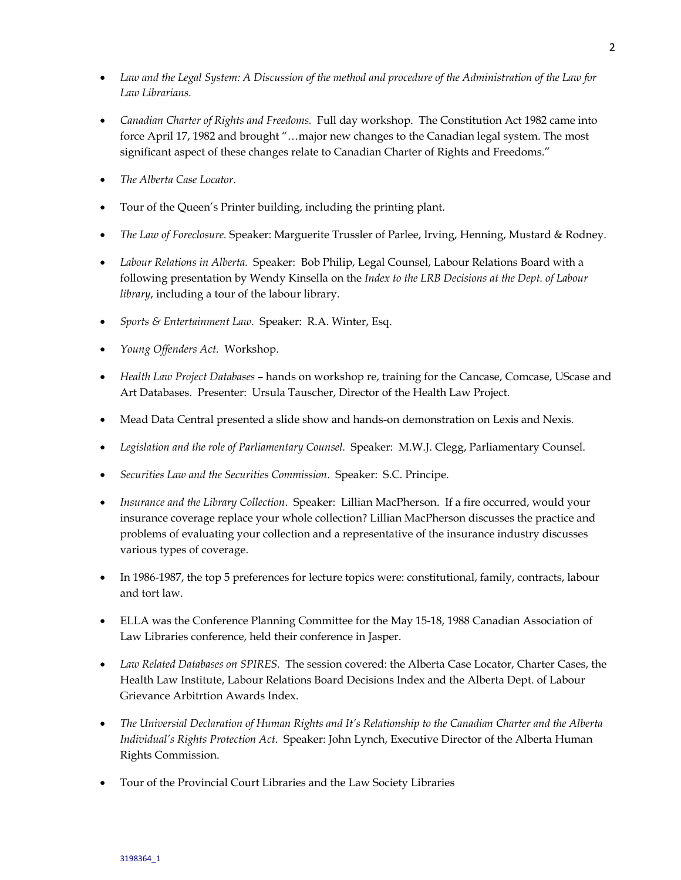- *Law and the Legal System: A Discussion of the method and procedure of the Administration of the Law for Law Librarians*.
- *Canadian Charter of Rights and Freedoms.* Full day workshop. The Constitution Act 1982 came into force April 17, 1982 and brought "…major new changes to the Canadian legal system. The most significant aspect of these changes relate to Canadian Charter of Rights and Freedoms."
- *The Alberta Case Locator*.
- Tour of the Queen's Printer building, including the printing plant.
- *The Law of Foreclosure.* Speaker: Marguerite Trussler of Parlee, Irving, Henning, Mustard & Rodney.
- *Labour Relations in Alberta.* Speaker: Bob Philip, Legal Counsel, Labour Relations Board with a following presentation by Wendy Kinsella on the *Index to the LRB Decisions at the Dept. of Labour library*, including a tour of the labour library.
- *Sports & Entertainment Law*. Speaker: R.A. Winter, Esq.
- *Young Offenders Act.* Workshop.
- *Health Law Project Databases* hands on workshop re, training for the Cancase, Comcase, UScase and Art Databases. Presenter: Ursula Tauscher, Director of the Health Law Project.
- Mead Data Central presented a slide show and hands-on demonstration on Lexis and Nexis.
- *Legislation and the role of Parliamentary Counsel.* Speaker: M.W.J. Clegg, Parliamentary Counsel.
- *Securities Law and the Securities Commission*. Speaker: S.C. Principe.
- *Insurance and the Library Collection*. Speaker: Lillian MacPherson. If a fire occurred, would your insurance coverage replace your whole collection? Lillian MacPherson discusses the practice and problems of evaluating your collection and a representative of the insurance industry discusses various types of coverage.
- In 1986-1987, the top 5 preferences for lecture topics were: constitutional, family, contracts, labour and tort law.
- ELLA was the Conference Planning Committee for the May 15-18, 1988 Canadian Association of Law Libraries conference, held their conference in Jasper.
- *Law Related Databases on SPIRES.* The session covered: the Alberta Case Locator, Charter Cases, the Health Law Institute, Labour Relations Board Decisions Index and the Alberta Dept. of Labour Grievance Arbitrtion Awards Index.
- *The Universial Declaration of Human Rights and It's Relationship to the Canadian Charter and the Alberta Individual's Rights Protection Act*. Speaker: John Lynch, Executive Director of the Alberta Human Rights Commission.
- Tour of the Provincial Court Libraries and the Law Society Libraries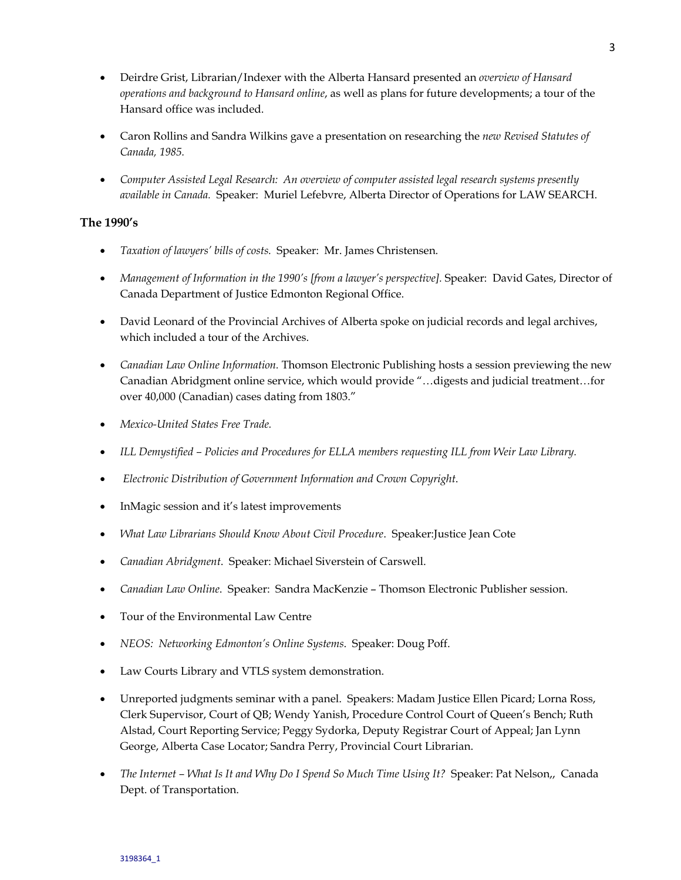- Deirdre Grist, Librarian/Indexer with the Alberta Hansard presented an *overview of Hansard operations and background to Hansard online*, as well as plans for future developments; a tour of the Hansard office was included.
- Caron Rollins and Sandra Wilkins gave a presentation on researching the *new Revised Statutes of Canada, 1985.*
- *Computer Assisted Legal Research: An overview of computer assisted legal research systems presently available in Canada.* Speaker: Muriel Lefebvre, Alberta Director of Operations for LAW SEARCH.

## **The 1990's**

- *Taxation of lawyers' bills of costs.* Speaker: Mr. James Christensen.
- *Management of Information in the 1990's [from a lawyer's perspective].* Speaker: David Gates, Director of Canada Department of Justice Edmonton Regional Office.
- David Leonard of the Provincial Archives of Alberta spoke on judicial records and legal archives, which included a tour of the Archives.
- *Canadian Law Online Information.* Thomson Electronic Publishing hosts a session previewing the new Canadian Abridgment online service, which would provide "…digests and judicial treatment…for over 40,000 (Canadian) cases dating from 1803."
- *Mexico-United States Free Trade.*
- *ILL Demystified Policies and Procedures for ELLA members requesting ILL from Weir Law Library.*
- • *Electronic Distribution of Government Information and Crown Copyright*.
- InMagic session and it's latest improvements
- *What Law Librarians Should Know About Civil Procedure*. Speaker:Justice Jean Cote
- *Canadian Abridgment*. Speaker: Michael Siverstein of Carswell.
- *Canadian Law Online*. Speaker: Sandra MacKenzie Thomson Electronic Publisher session.
- Tour of the Environmental Law Centre
- *NEOS: Networking Edmonton's Online Systems*. Speaker: Doug Poff.
- Law Courts Library and VTLS system demonstration.
- Unreported judgments seminar with a panel. Speakers: Madam Justice Ellen Picard; Lorna Ross, Clerk Supervisor, Court of QB; Wendy Yanish, Procedure Control Court of Queen's Bench; Ruth Alstad, Court Reporting Service; Peggy Sydorka, Deputy Registrar Court of Appeal; Jan Lynn George, Alberta Case Locator; Sandra Perry, Provincial Court Librarian.
- *The Internet What Is It and Why Do I Spend So Much Time Using It?* Speaker: Pat Nelson,, Canada Dept. of Transportation.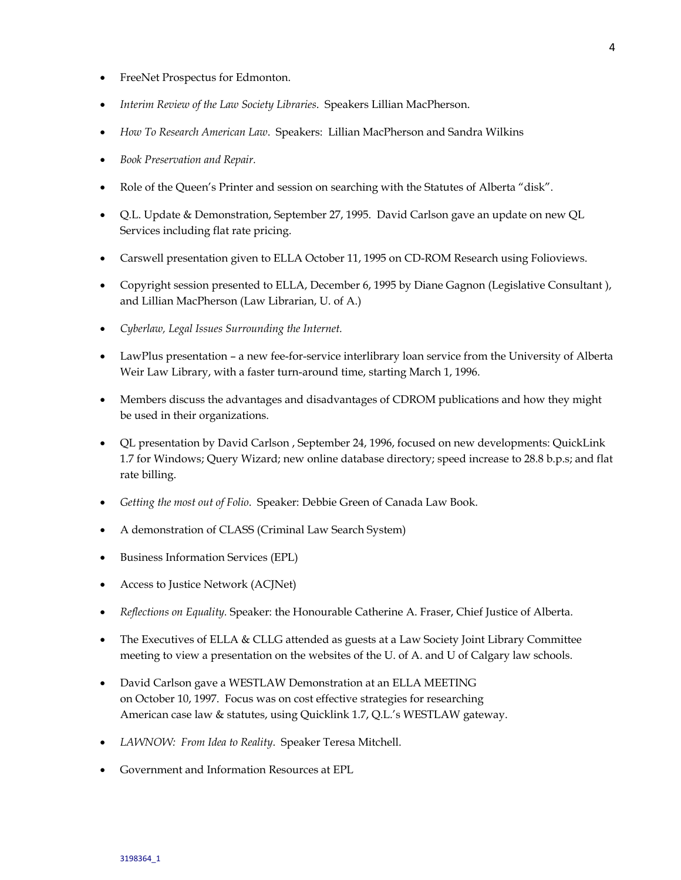- FreeNet Prospectus for Edmonton.
- *Interim Review of the Law Society Libraries*. Speakers Lillian MacPherson.
- *How To Research American Law*. Speakers: Lillian MacPherson and Sandra Wilkins
- *Book Preservation and Repair.*
- Role of the Queen's Printer and session on searching with the Statutes of Alberta "disk".
- Q.L. Update & Demonstration, September 27, 1995. David Carlson gave an update on new QL Services including flat rate pricing.
- Carswell presentation given to ELLA October 11, 1995 on CD-ROM Research using Folioviews.
- Copyright session presented to ELLA, December 6, 1995 by Diane Gagnon (Legislative Consultant ), and Lillian MacPherson (Law Librarian, U. of A.)
- *Cyberlaw, Legal Issues Surrounding the Internet.*
- LawPlus presentation a new fee-for-service interlibrary loan service from the University of Alberta Weir Law Library, with a faster turn-around time, starting March 1, 1996.
- Members discuss the advantages and disadvantages of CDROM publications and how they might be used in their organizations.
- QL presentation by David Carlson , September 24, 1996, focused on new developments: QuickLink 1.7 for Windows; Query Wizard; new online database directory; speed increase to 28.8 b.p.s; and flat rate billing.
- *Getting the most out of Folio*. Speaker: Debbie Green of Canada Law Book.
- A demonstration of CLASS (Criminal Law Search System)
- Business Information Services (EPL)
- Access to Justice Network (ACJNet)
- *Reflections on Equality.* Speaker: the Honourable Catherine A. Fraser, Chief Justice of Alberta.
- The Executives of ELLA & CLLG attended as guests at a Law Society Joint Library Committee meeting to view a presentation on the websites of the U. of A. and U of Calgary law schools.
- David Carlson gave a WESTLAW Demonstration at an ELLA MEETING on October 10, 1997. Focus was on cost effective strategies for researching American case law & statutes, using Quicklink 1.7, Q.L.'s WESTLAW gateway.
- *LAWNOW: From Idea to Reality*. Speaker Teresa Mitchell.
- Government and Information Resources at EPL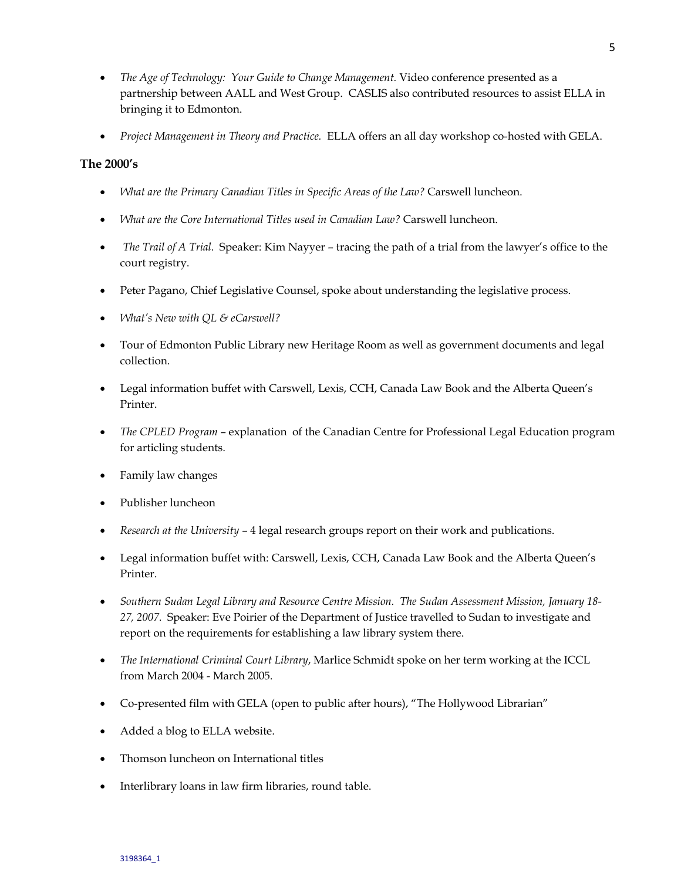- *The Age of Technology: Your Guide to Change Management.* Video conference presented as a partnership between AALL and West Group. CASLIS also contributed resources to assist ELLA in bringing it to Edmonton.
- *Project Management in Theory and Practice.* ELLA offers an all day workshop co-hosted with GELA.

### **The 2000's**

- *What are the Primary Canadian Titles in Specific Areas of the Law?* Carswell luncheon.
- *What are the Core International Titles used in Canadian Law?* Carswell luncheon.
- *The Trail of A Trial.* Speaker: Kim Nayyer tracing the path of a trial from the lawyer's office to the court registry.
- Peter Pagano, Chief Legislative Counsel, spoke about understanding the legislative process.
- *What's New with QL & eCarswell?*
- Tour of Edmonton Public Library new Heritage Room as well as government documents and legal collection.
- Legal information buffet with Carswell, Lexis, CCH, Canada Law Book and the Alberta Queen's Printer.
- *The CPLED Program* explanation of the Canadian Centre for Professional Legal Education program for articling students.
- Family law changes
- Publisher luncheon
- *Research at the University* 4 legal research groups report on their work and publications.
- Legal information buffet with: Carswell, Lexis, CCH, Canada Law Book and the Alberta Queen's Printer.
- *Southern Sudan Legal Library and Resource Centre Mission. The Sudan Assessment Mission, January 18- 27, 2007*. Speaker: Eve Poirier of the Department of Justice travelled to Sudan to investigate and report on the requirements for establishing a law library system there.
- *The International Criminal Court Library*, Marlice Schmidt spoke on her term working at the ICCL from March 2004 - March 2005.
- Co-presented film with GELA (open to public after hours), "The Hollywood Librarian"
- Added a blog to ELLA website.
- Thomson luncheon on International titles
- Interlibrary loans in law firm libraries, round table.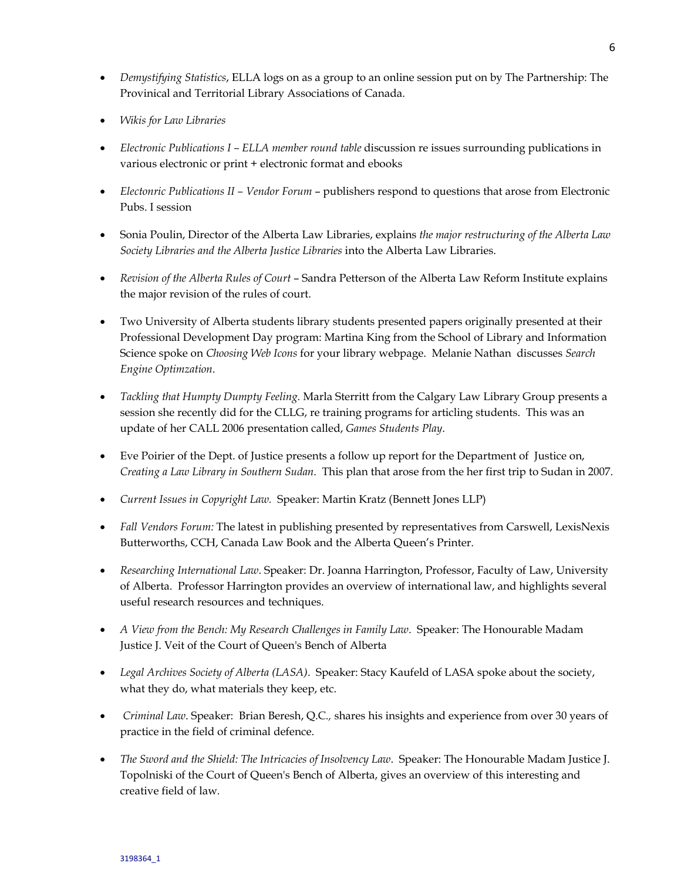- *Demystifying Statistics*, ELLA logs on as a group to an online session put on by The Partnership: The Provinical and Territorial Library Associations of Canada.
- *Wikis for Law Libraries*
- *Electronic Publications I ELLA member round table* discussion re issues surrounding publications in various electronic or print + electronic format and ebooks
- *Electonric Publications II Vendor Forum* publishers respond to questions that arose from Electronic Pubs. I session
- Sonia Poulin, Director of the Alberta Law Libraries, explains *the major restructuring of the Alberta Law Society Libraries and the Alberta Justice Libraries* into the Alberta Law Libraries.
- *Revision of the Alberta Rules of Court* Sandra Petterson of the Alberta Law Reform Institute explains the major revision of the rules of court.
- Two University of Alberta students library students presented papers originally presented at their Professional Development Day program: Martina King from the School of Library and Information Science spoke on *Choosing Web Icons* for your library webpage. Melanie Nathan discusses *Search Engine Optimzation*.
- *Tackling that Humpty Dumpty Feeling.* Marla Sterritt from the Calgary Law Library Group presents a session she recently did for the CLLG, re training programs for articling students. This was an update of her CALL 2006 presentation called, *Games Students Play*.
- Eve Poirier of the Dept. of Justice presents a follow up report for the Department of Justice on, *Creating a Law Library in Southern Sudan*. This plan that arose from the her first trip to Sudan in 2007.
- *Current Issues in Copyright Law.* Speaker: Martin Kratz (Bennett Jones LLP)
- *Fall Vendors Forum:* The latest in publishing presented by representatives from Carswell, LexisNexis Butterworths, CCH, Canada Law Book and the Alberta Queen's Printer.
- *Researching International Law*. Speaker: Dr. Joanna Harrington, Professor, Faculty of Law, University of Alberta. Professor Harrington provides an overview of international law, and highlights several useful research resources and techniques.
- *A View from the Bench: My Research Challenges in Family Law*. Speaker: The Honourable Madam Justice J. Veit of the Court of Queen's Bench of Alberta
- *Legal Archives Society of Alberta (LASA)*. Speaker: Stacy Kaufeld of LASA spoke about the society, what they do, what materials they keep, etc.
- *Criminal Law*. Speaker: Brian Beresh, Q.C*.,* shares his insights and experience from over 30 years of practice in the field of criminal defence.
- *The Sword and the Shield: The Intricacies of Insolvency Law*. Speaker: The Honourable Madam Justice J. Topolniski of the Court of Queen's Bench of Alberta, gives an overview of this interesting and creative field of law*.*